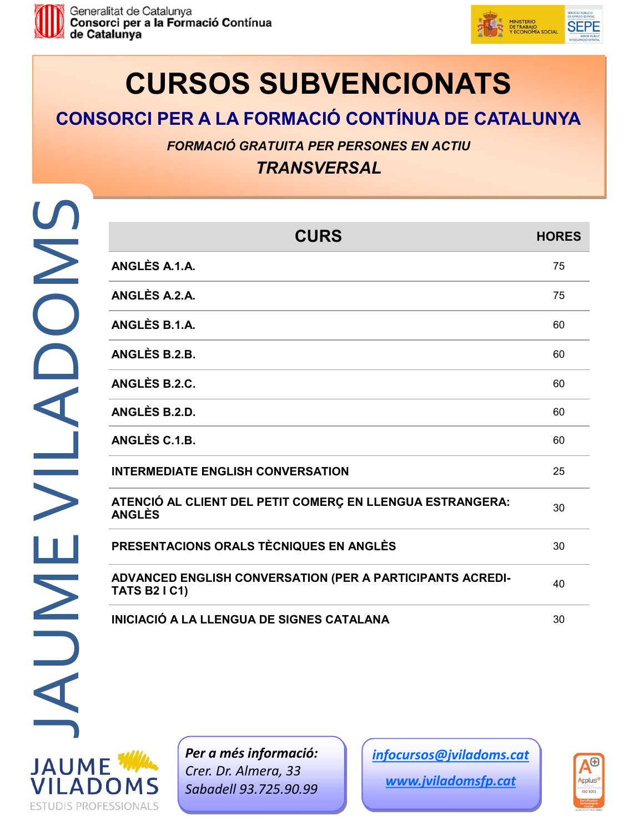



# **CURSOS SUBVENCIONATS**

### **CONSORCI PER A LA FORMACIÓ CONTÍNUA DE CATALUNYA**

*FORMACIÓ GRATUITA PER PERSONES EN ACTIU*

*TRANSVERSAL*

**ESTUDIS PROFESSIONALS** 

| <b>CURS</b>                                                                       | <b>HORES</b> |
|-----------------------------------------------------------------------------------|--------------|
| ANGLÈS A.1.A.                                                                     | 75           |
| ANGLÈS A.2.A.                                                                     | 75           |
| ANGLÈS B.1.A.                                                                     | 60           |
| ANGLÈS B.2.B.                                                                     | 60           |
| ANGLÈS B.2.C.                                                                     | 60           |
| ANGLÈS B.2.D.                                                                     | 60           |
| ANGLÈS C.1.B.                                                                     | 60           |
| <b>INTERMEDIATE ENGLISH CONVERSATION</b>                                          | 25           |
| ATENCIÓ AL CLIENT DEL PETIT COMERÇ EN LLENGUA ESTRANGERA:<br><b>ANGLÈS</b>        | 30           |
| PRESENTACIONS ORALS TÈCNIQUES EN ANGLÈS                                           | 30           |
| ADVANCED ENGLISH CONVERSATION (PER A PARTICIPANTS ACREDI-<br><b>TATS B2 I C1)</b> | 40           |
| INICIACIÓ A LA LLENGUA DE SIGNES CATALANA                                         | 30           |



*Per a més informació: Crer. Dr. Almera, 33 Sabadell 93.725.90.99*

*[infocursos@jviladoms.cat](mailto:infocursos@jviladoms.cat)*

*www.jviladomsfp.cat*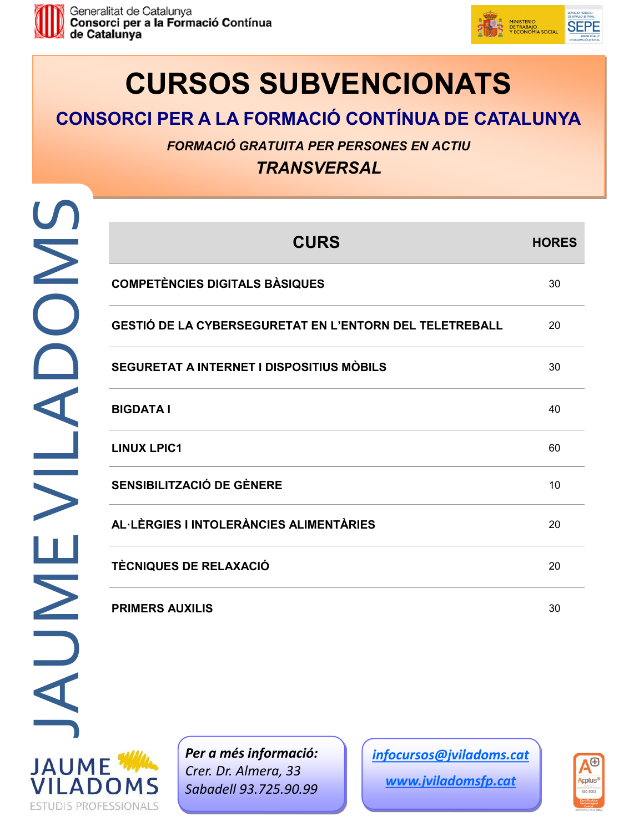



# **CURSOS SUBVENCIONATS**

### **CONSORCI PER A LA FORMACIÓ CONTÍNUA DE CATALUNYA**

*FORMACIÓ GRATUITA PER PERSONES EN ACTIU*

*TRANSVERSAL*

**ESTUDIS PROFESSIONALS** 

| <b>CURS</b>                                             | <b>HORES</b> |
|---------------------------------------------------------|--------------|
| <b>COMPETÈNCIES DIGITALS BÀSIQUES</b>                   | 30           |
| GESTIÓ DE LA CYBERSEGURETAT EN L'ENTORN DEL TELETREBALL | 20           |
| SEGURETAT A INTERNET I DISPOSITIUS MÒBILS               | 30           |
| <b>BIGDATA I</b>                                        | 40           |
| <b>LINUX LPIC1</b>                                      | 60           |
| SENSIBILITZACIÓ DE GÈNERE                               | 10           |
| AL·LÈRGIES I INTOLERÀNCIES ALIMENTÀRIES                 | 20           |
| <b>TÈCNIQUES DE RELAXACIÓ</b>                           | 20           |
| <b>PRIMERS AUXILIS</b>                                  | 30           |

*Per a més informació: Crer. Dr. Almera, 33 Sabadell 93.725.90.99*

*[infocursos@jviladoms.cat](mailto:infocursos@jviladoms.cat)*